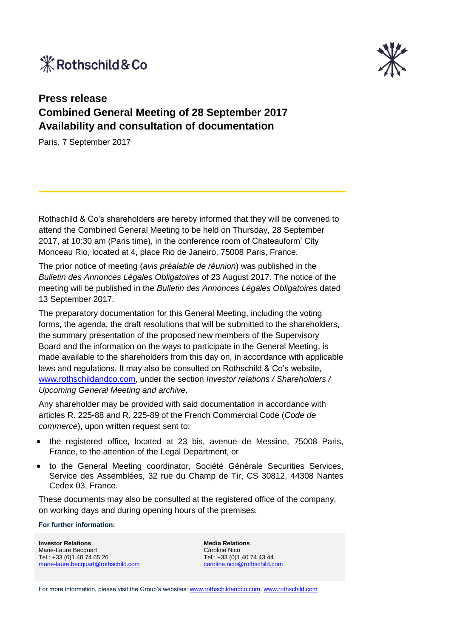



## **Press release Combined General Meeting of 28 September 2017 Availability and consultation of documentation**

Paris, 7 September 2017

Rothschild & Co's shareholders are hereby informed that they will be convened to attend the Combined General Meeting to be held on Thursday, 28 September 2017, at 10:30 am (Paris time), in the conference room of Chateauform' City Monceau Rio, located at 4, place Rio de Janeiro, 75008 Paris, France.

The prior notice of meeting (*avis préalable de réunion*) was published in the *Bulletin des Annonces Légales Obligatoires* of 23 August 2017. The notice of the meeting will be published in the *Bulletin des Annonces Légales Obligatoires* dated 13 September 2017.

The preparatory documentation for this General Meeting, including the voting forms, the agenda, the draft resolutions that will be submitted to the shareholders, the summary presentation of the proposed new members of the Supervisory Board and the information on the ways to participate in the General Meeting, is made available to the shareholders from this day on, in accordance with applicable laws and regulations. It may also be consulted on Rothschild & Co's website, [www.rothschildandco.com,](http://www.rothschildandco.com/) under the section *Investor relations / Shareholders / Upcoming General Meeting and archive*.

Any shareholder may be provided with said documentation in accordance with articles R. 225-88 and R. 225-89 of the French Commercial Code (*Code de commerce*), upon written request sent to:

- the registered office, located at 23 bis, avenue de Messine, 75008 Paris, France, to the attention of the Legal Department, or
- to the General Meeting coordinator, Société Générale Securities Services, Service des Assemblées, 32 rue du Champ de Tir, CS 30812, 44308 Nantes Cedex 03, France.

These documents may also be consulted at the registered office of the company, on working days and during opening hours of the premises.

## **For further information:**

**Investor Relations** Marie-Laure Becquart Tel.: +33 (0)1 40 74 65 26 [marie-laure.becquart@rothschild.com](mailto:caroline.nico@rothschild.com) **Media Relations** Caroline Nico Tel.: +33 (0)1 40 74 43 44 [caroline.nico@rothschild.com](mailto:caroline.nico@rothschild.com)